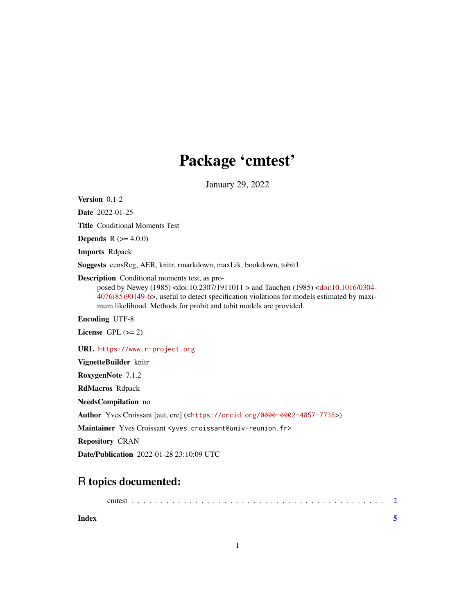# Package 'cmtest'

January 29, 2022

Version 0.1-2

Date 2022-01-25

Title Conditional Moments Test

**Depends** R  $(>= 4.0.0)$ 

Imports Rdpack

Suggests censReg, AER, knitr, rmarkdown, maxLik, bookdown, tobit1

Description Conditional moments test, as pro-

posed by Newey (1985) <doi:10.2307/1911011 > and Tauchen (1985) [<doi:10.1016/0304-](https://doi.org/10.1016/0304-4076(85)90149-6) [4076\(85\)90149-6>](https://doi.org/10.1016/0304-4076(85)90149-6), useful to detect specification violations for models estimated by maximum likelihood. Methods for probit and tobit models are provided.

Encoding UTF-8

License GPL  $(>= 2)$ 

URL <https://www.r-project.org>

VignetteBuilder knitr

RoxygenNote 7.1.2

RdMacros Rdpack

NeedsCompilation no

Author Yves Croissant [aut, cre] (<<https://orcid.org/0000-0002-4857-7736>>)

Maintainer Yves Croissant <yves.croissant@univ-reunion.fr>

Repository CRAN

Date/Publication 2022-01-28 23:10:09 UTC

## R topics documented:

| Index |  |  |  |  |  |  |  |  |  |  |  |  |  |  |  |  |  |
|-------|--|--|--|--|--|--|--|--|--|--|--|--|--|--|--|--|--|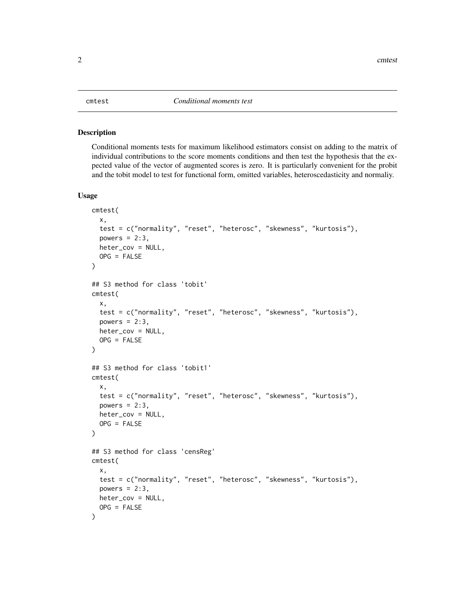#### <span id="page-1-0"></span>Description

Conditional moments tests for maximum likelihood estimators consist on adding to the matrix of individual contributions to the score moments conditions and then test the hypothesis that the expected value of the vector of augmented scores is zero. It is particularly convenient for the probit and the tobit model to test for functional form, omitted variables, heteroscedasticity and normaliy.

#### Usage

```
cmtest(
  x,
  test = c("normality", "reset", "heterosc", "skewness", "kurtosis"),
  powers = 2:3,
  heter_cov = NULL,
  OPG = FALSE)
## S3 method for class 'tobit'
cmtest(
  x,
  test = c("normality", "reset", "heterosc", "skewness", "kurtosis"),
  powers = 2:3,
  heter_cov = NULL,
  OPG = FALSE\lambda## S3 method for class 'tobit1'
cmtest(
  x,
  test = c("normality", "reset", "heterosc", "skewness", "kurtosis"),
  powers = 2:3,
  heter_cov = NULL,
  OPG = FALSE
)
## S3 method for class 'censReg'
cmtest(
  x,
  test = c("normality", "reset", "heterosc", "skewness", "kurtosis"),
  powers = 2:3,
 heter_cov = NULL,
  OPG = FALSE)
```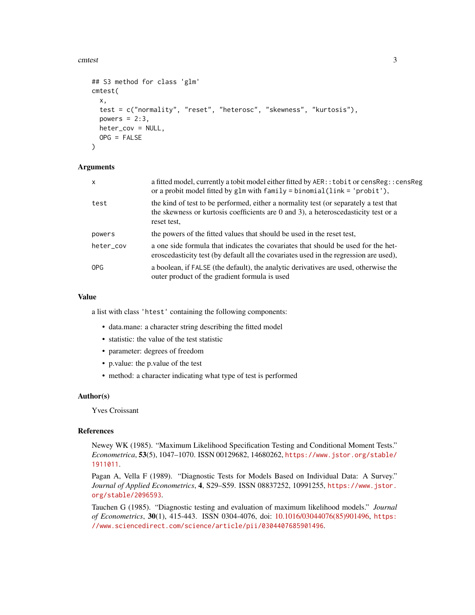cmtest 3

```
## S3 method for class 'glm'
cmtest(
  x,
  test = c("normality", "reset", "heterosc", "skewness", "kurtosis"),
  powers = 2:3,
  heter_cov = NULL,
  OPG = FALSE
\lambda
```
### Arguments

| X         | a fitted model, currently a tobit model either fitted by AER:: tobit or censReg:: censReg<br>or a probit model fitted by glm with $f$ amily = binomial(link = 'probit'),                       |
|-----------|------------------------------------------------------------------------------------------------------------------------------------------------------------------------------------------------|
| test      | the kind of test to be performed, either a normality test (or separately a test that<br>the skewness or kurtosis coefficients are $0$ and $3$ ), a heteroscedasticity test or a<br>reset test, |
| powers    | the powers of the fitted values that should be used in the reset test,                                                                                                                         |
| heter_cov | a one side formula that indicates the covariates that should be used for the het-<br>eroscedasticity test (by default all the covariates used in the regression are used),                     |
| OPG       | a boolean, if FALSE (the default), the analytic derivatives are used, otherwise the<br>outer product of the gradient formula is used                                                           |

#### Value

a list with class 'htest' containing the following components:

- data.mane: a character string describing the fitted model
- statistic: the value of the test statistic
- parameter: degrees of freedom
- p.value: the p.value of the test
- method: a character indicating what type of test is performed

#### Author(s)

Yves Croissant

#### References

Newey WK (1985). "Maximum Likelihood Specification Testing and Conditional Moment Tests." *Econometrica*, 53(5), 1047–1070. ISSN 00129682, 14680262, [https://www.jstor.org/stable/](https://www.jstor.org/stable/1911011) [1911011](https://www.jstor.org/stable/1911011).

Pagan A, Vella F (1989). "Diagnostic Tests for Models Based on Individual Data: A Survey." *Journal of Applied Econometrics*, 4, S29–S59. ISSN 08837252, 10991255, [https://www.jstor.](https://www.jstor.org/stable/2096593) [org/stable/2096593](https://www.jstor.org/stable/2096593).

Tauchen G (1985). "Diagnostic testing and evaluation of maximum likelihood models." *Journal of Econometrics*, 30(1), 415-443. ISSN 0304-4076, doi: [10.1016/03044076\(85\)901496,](https://doi.org/10.1016/0304-4076(85)90149-6) [https:](https://www.sciencedirect.com/science/article/pii/0304407685901496) [//www.sciencedirect.com/science/article/pii/0304407685901496](https://www.sciencedirect.com/science/article/pii/0304407685901496).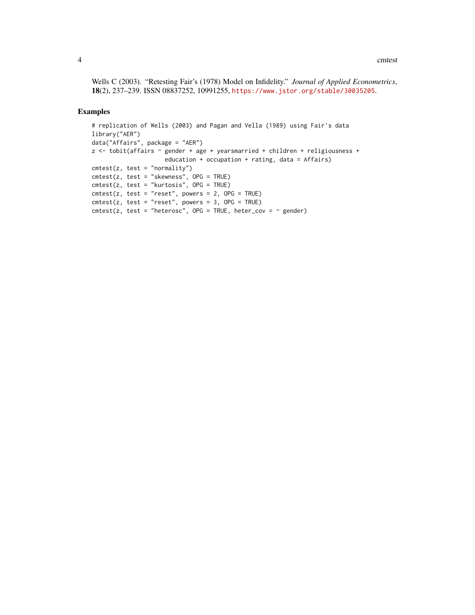Wells C (2003). "Retesting Fair's (1978) Model on Infidelity." *Journal of Applied Econometrics*, 18(2), 237–239. ISSN 08837252, 10991255, <https://www.jstor.org/stable/30035205>.

#### Examples

```
# replication of Wells (2003) and Pagan and Vella (1989) using Fair's data
library("AER")
data("Affairs", package = "AER")
z <- tobit(affairs ~ gender + age + yearsmarried + children + religiousness +
                        education + occupation + rating, data = Affairs)
{\rm cmtest}(z, \text{ test} = "normality")cmtest(z, test = "skewness", OPG = TRUE)
cmtest(z, test = "kurtosis", OPG = TRUE)
{\sf cmtest}(z, \; {\sf test} = "reset", \; powers = 2, \; {\sf OPG} = \sf TRUE){\rm cmtest}(z, {\rm test} = "reset", {\rm powers} = 3, {\rm OPG} = {\rm TRUE})cmtest(z, test = "heterosc", OPG = TRUE, heter_cov = \sim gender)
```